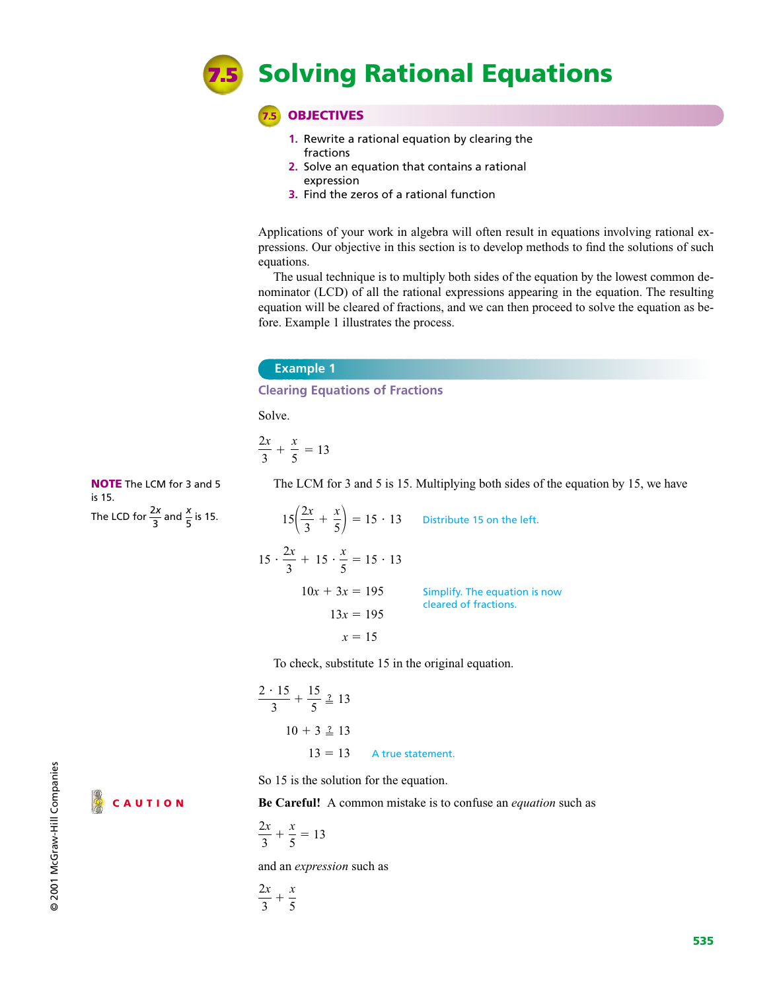

**7.5 OBJECTIVES**

- **1.** Rewrite a rational equation by clearing the fractions
- **2.** Solve an equation that contains a rational expression
- **3.** Find the zeros of a rational function

Applications of your work in algebra will often result in equations involving rational expressions. Our objective in this section is to develop methods to find the solutions of such equations.

The usual technique is to multiply both sides of the equation by the lowest common denominator (LCD) of all the rational expressions appearing in the equation. The resulting equation will be cleared of fractions, and we can then proceed to solve the equation as before. Example 1 illustrates the process.

### **Example 1**

**Clearing Equations of Fractions**

Solve.

$$
\frac{2x}{3} + \frac{x}{5} = 13
$$

**NOTE** The LCM for 3 and 5 is 15. The LCD for  $\frac{2x}{3}$  and  $\frac{x}{5}$  is 15. 2*x* 3

The LCM for 3 and 5 is 15. Multiplying both sides of the equation by 15, we have

| $15\left(\frac{2x}{3} + \frac{x}{5}\right) = 15 \cdot 13$ Distribute 15 on the left. |                               |  |
|--------------------------------------------------------------------------------------|-------------------------------|--|
| $15 \cdot \frac{2x}{3} + 15 \cdot \frac{x}{5} = 15 \cdot 13$                         |                               |  |
| $10x + 3x = 195$                                                                     | Simplify. The equation is now |  |
| $13x = 195$                                                                          | cleared of fractions.         |  |
| $x = 15$                                                                             |                               |  |

To check, substitute 15 in the original equation.

$$
\frac{2 \cdot 15}{3} + \frac{15}{5} \stackrel{?}{=} 13
$$
  
10 + 3  $\stackrel{?}{=} 13$   
13 = 13 A true statement.

So 15 is the solution for the equation.

**CAUTION**

**Be Careful!** A common mistake is to confuse an *equation* such as

$$
\frac{2x}{3} + \frac{x}{5} = 13
$$

and an *expression* such as

$$
\frac{2x}{3} + \frac{x}{5}
$$

@ 2001 McGraw-Hill Companies © 2001 McGraw-Hill Companies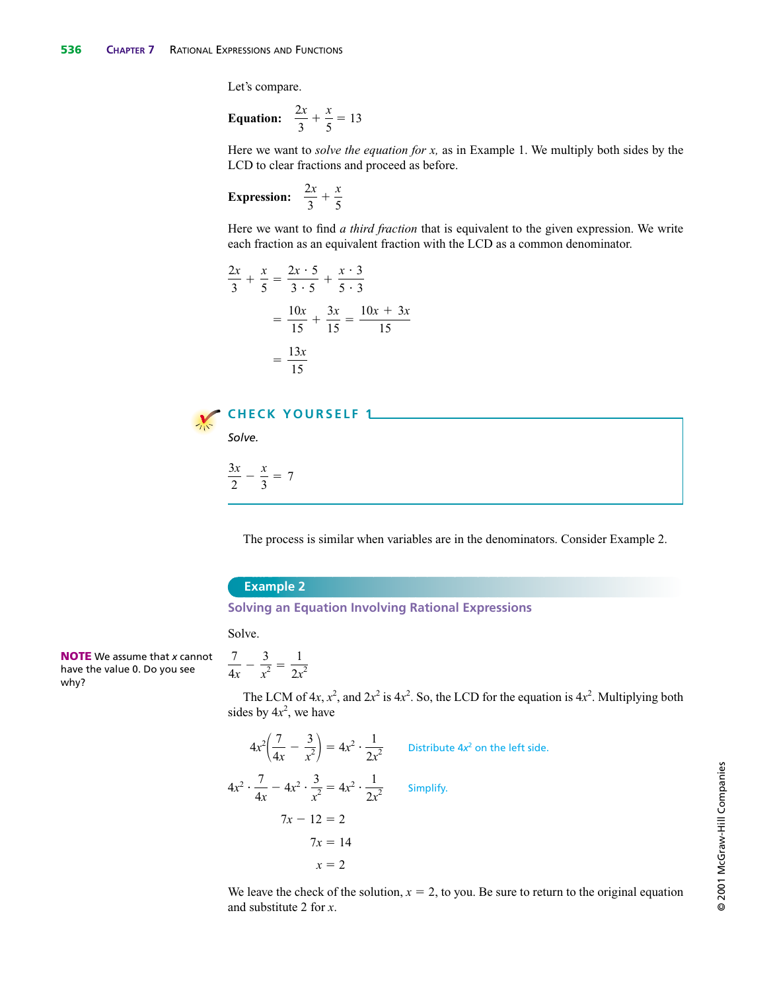Let's compare.

**Equation:** 
$$
\frac{2x}{3} + \frac{x}{5} = 13
$$

Here we want to *solve the equation for x,* as in Example 1. We multiply both sides by the LCD to clear fractions and proceed as before.

**Expression:**  $\frac{2x}{2} + \frac{x}{6}$ 5 2*x* 3

Here we want to find *a third fraction* that is equivalent to the given expression. We write each fraction as an equivalent fraction with the LCD as a common denominator.

$$
\frac{2x}{3} + \frac{x}{5} = \frac{2x \cdot 5}{3 \cdot 5} + \frac{x \cdot 3}{5 \cdot 3}
$$

$$
= \frac{10x}{15} + \frac{3x}{15} = \frac{10x + 3x}{15}
$$

$$
= \frac{13x}{15}
$$



 $\frac{3x}{2} - \frac{x}{3} = 7$ 

The process is similar when variables are in the denominators. Consider Example 2.

### **Example 2**

### **Solving an Equation Involving Rational Expressions**

Solve.

**NOTE** We assume that *x* cannot have the value 0. Do you see why?

$$
\frac{7}{4x} - \frac{3}{x^2} = \frac{1}{2x^2}
$$

The LCM of  $4x$ ,  $x^2$ , and  $2x^2$  is  $4x^2$ . So, the LCD for the equation is  $4x^2$ . Multiplying both sides by  $4x^2$ , we have

$$
4x^{2}\left(\frac{7}{4x} - \frac{3}{x^{2}}\right) = 4x^{2} \cdot \frac{1}{2x^{2}}
$$
 Distribute 4x<sup>2</sup> on the left side.  
\n
$$
4x^{2} \cdot \frac{7}{4x} - 4x^{2} \cdot \frac{3}{x^{2}} = 4x^{2} \cdot \frac{1}{2x^{2}}
$$
 Simplify.  
\n
$$
7x - 12 = 2
$$
  
\n
$$
7x = 14
$$
  
\n
$$
x = 2
$$

We leave the check of the solution,  $x = 2$ , to you. Be sure to return to the original equation and substitute 2 for *x*.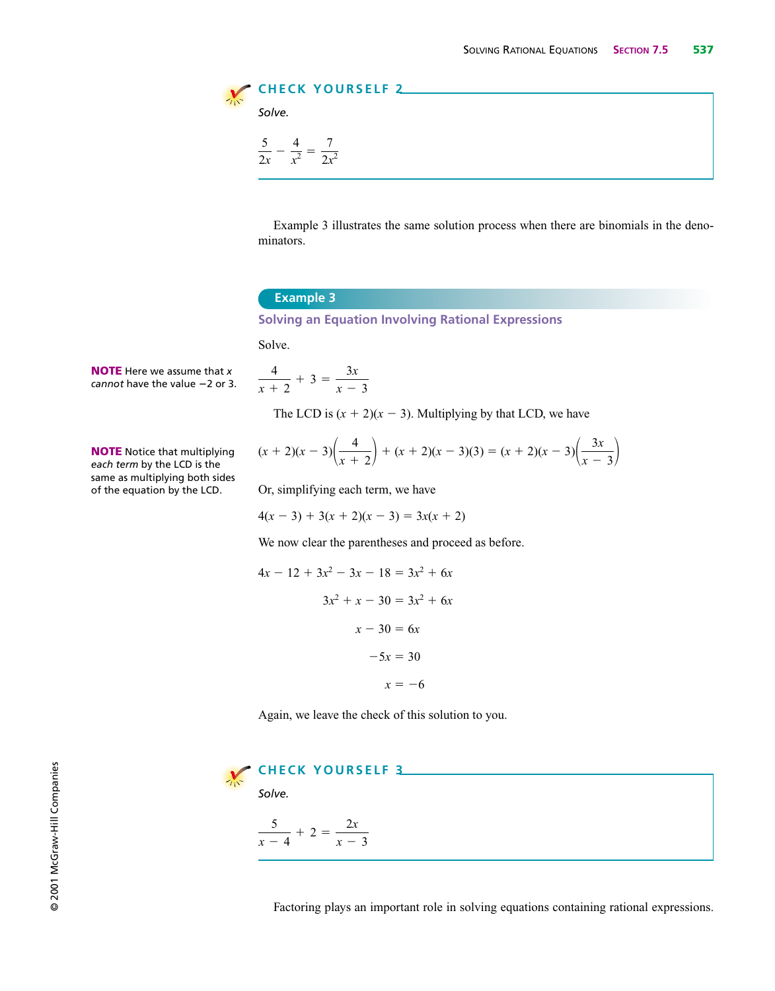

Example 3 illustrates the same solution process when there are binomials in the denominators.

### **Example 3**

**Solving an Equation Involving Rational Expressions**

Solve.

**NOTE** Here we assume that *x cannot* have the value  $-2$  or 3.

*each term* by the LCD is the same as multiplying both sides of the equation by the LCD.

**NOTE** Notice that multiplying

$$
\frac{4}{x+2} + 3 = \frac{3x}{x-3}
$$

The LCD is  $(x + 2)(x - 3)$ . Multiplying by that LCD, we have

$$
(x + 2)(x - 3)\left(\frac{4}{x + 2}\right) + (x + 2)(x - 3)(3) = (x + 2)(x - 3)\left(\frac{3x}{x - 3}\right)
$$

Or, simplifying each term, we have

$$
4(x-3) + 3(x+2)(x-3) = 3x(x+2)
$$

We now clear the parentheses and proceed as before.

$$
4x - 12 + 3x2 - 3x - 18 = 3x2 + 6x
$$
  

$$
3x2 + x - 30 = 3x2 + 6x
$$
  

$$
x - 30 = 6x
$$
  

$$
-5x = 30
$$
  

$$
x = -6
$$

Again, we leave the check of this solution to you.



Factoring plays an important role in solving equations containing rational expressions.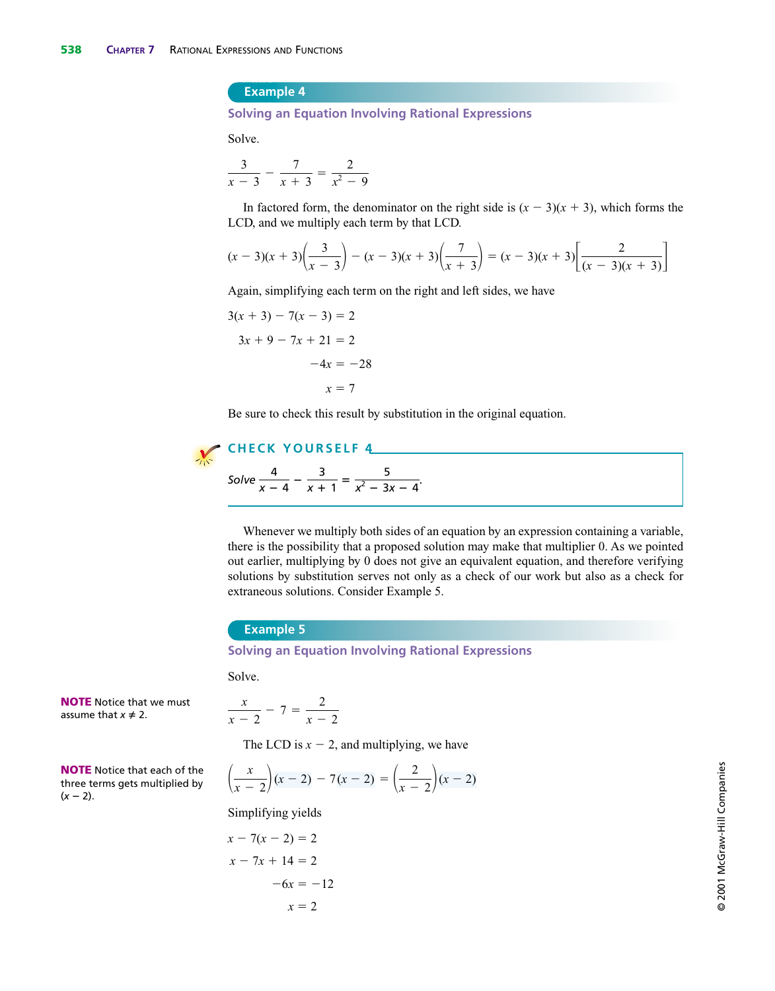### **Example 4**

**Solving an Equation Involving Rational Expressions**

Solve.

$$
\frac{3}{x-3} - \frac{7}{x+3} = \frac{2}{x^2-9}
$$

In factored form, the denominator on the right side is  $(x - 3)(x + 3)$ , which forms the LCD, and we multiply each term by that LCD.

$$
(x-3)(x+3)\left(\frac{3}{x-3}\right)-(x-3)(x+3)\left(\frac{7}{x+3}\right)=(x-3)(x+3)\left[\frac{2}{(x-3)(x+3)}\right]
$$

Again, simplifying each term on the right and left sides, we have

$$
3(x + 3) - 7(x - 3) = 2
$$
  

$$
3x + 9 - 7x + 21 = 2
$$
  

$$
-4x = -28
$$
  

$$
x = 7
$$

Be sure to check this result by substitution in the original equation.

## **CHECK YOURSELF 4** Solve  $\frac{4}{x-4} - \frac{3}{x+1} = \frac{5}{x^2 - 3x - 4}$ .

Whenever we multiply both sides of an equation by an expression containing a variable, there is the possibility that a proposed solution may make that multiplier 0. As we pointed out earlier, multiplying by 0 does not give an equivalent equation, and therefore verifying solutions by substitution serves not only as a check of our work but also as a check for extraneous solutions. Consider Example 5.

### **Example 5**

**Solving an Equation Involving Rational Expressions**

Solve.

**NOTE** Notice that we must assume that  $x \neq 2$ .

$$
\frac{x}{x-2}-7=\frac{2}{x-2}
$$

The LCD is  $x - 2$ , and multiplying, we have

**NOTE** Notice that each of the three terms gets multiplied by 
$$
(x - 2)
$$
.

$$
\left(\frac{x}{x-2}\right)(x-2) - 7(x-2) = \left(\frac{2}{x-2}\right)(x-2)
$$

Simplifying yields

$$
x - 7(x - 2) = 2
$$
  

$$
x - 7x + 14 = 2
$$
  

$$
-6x = -12
$$
  

$$
x = 2
$$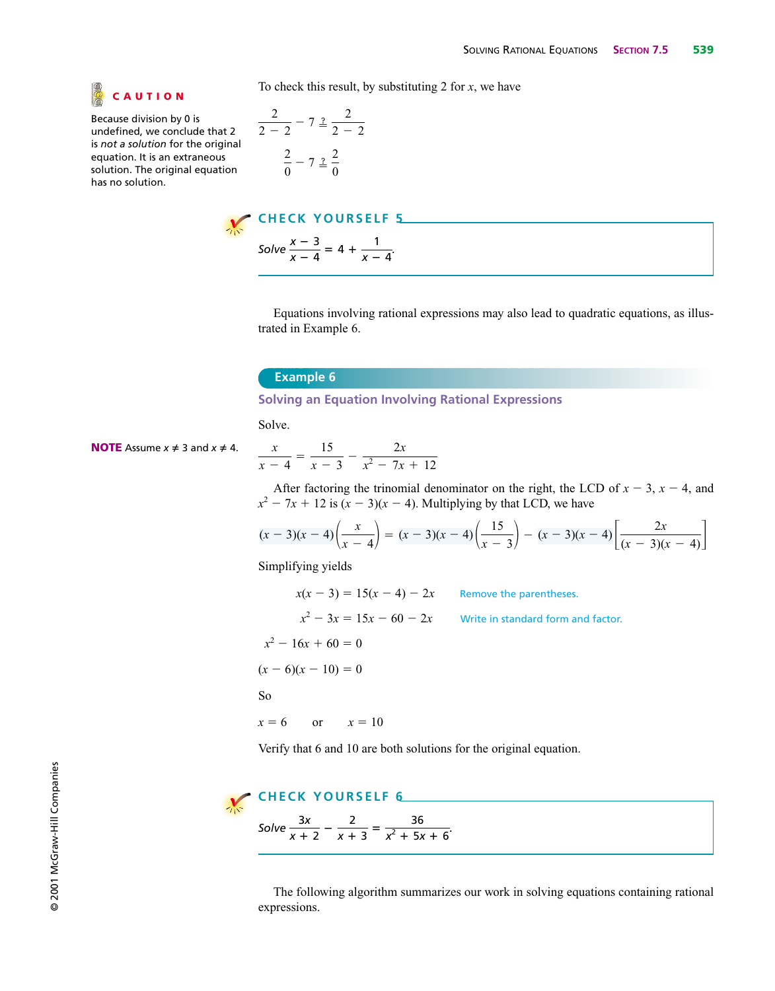

Because division by 0 is undefined, we conclude that 2 is *not a solution* for the original equation. It is an extraneous solution. The original equation has no solution.

To check this result, by substituting 2 for *x*, we have

$$
\frac{2}{2-2} - 7 \stackrel{?}{=} \frac{2}{2-2}
$$

$$
\frac{2}{0} - 7 \stackrel{?}{=} \frac{2}{0}
$$



Equations involving rational expressions may also lead to quadratic equations, as illustrated in Example 6.

### **Example 6**

**Solving an Equation Involving Rational Expressions**

Solve.

**NOTE** Assume 
$$
x \neq 3
$$
 and  $x \neq 4$ .

$$
\frac{x}{x-4} = \frac{15}{x-3} - \frac{2x}{x^2 - 7x + 12}
$$

After factoring the trinomial denominator on the right, the LCD of  $x - 3$ ,  $x - 4$ , and  $x^2 - 7x + 12$  is  $(x - 3)(x - 4)$ . Multiplying by that LCD, we have

$$
(x-3)(x-4)\left(\frac{x}{x-4}\right) = (x-3)(x-4)\left(\frac{15}{x-3}\right) - (x-3)(x-4)\left[\frac{2x}{(x-3)(x-4)}\right]
$$

Simplifying yields

 $x(x-3) = 15(x-4) - 2x$  Remove the parentheses.  $x^2 - 3x = 15x - 60 - 2x$  Write in standard form and factor.  $x^2 - 16x + 60 = 0$  $(x - 6)(x - 10) = 0$ So  $x = 6$  $= 6$  or  $x = 10$ Verify that 6 and 10 are both solutions for the original equation.

# **CHECK YOURSELF 6**

 $Solve \frac{3x}{x+2} - \frac{2}{x+3} = \frac{36}{x^2+5x+6}.$ 

The following algorithm summarizes our work in solving equations containing rational expressions.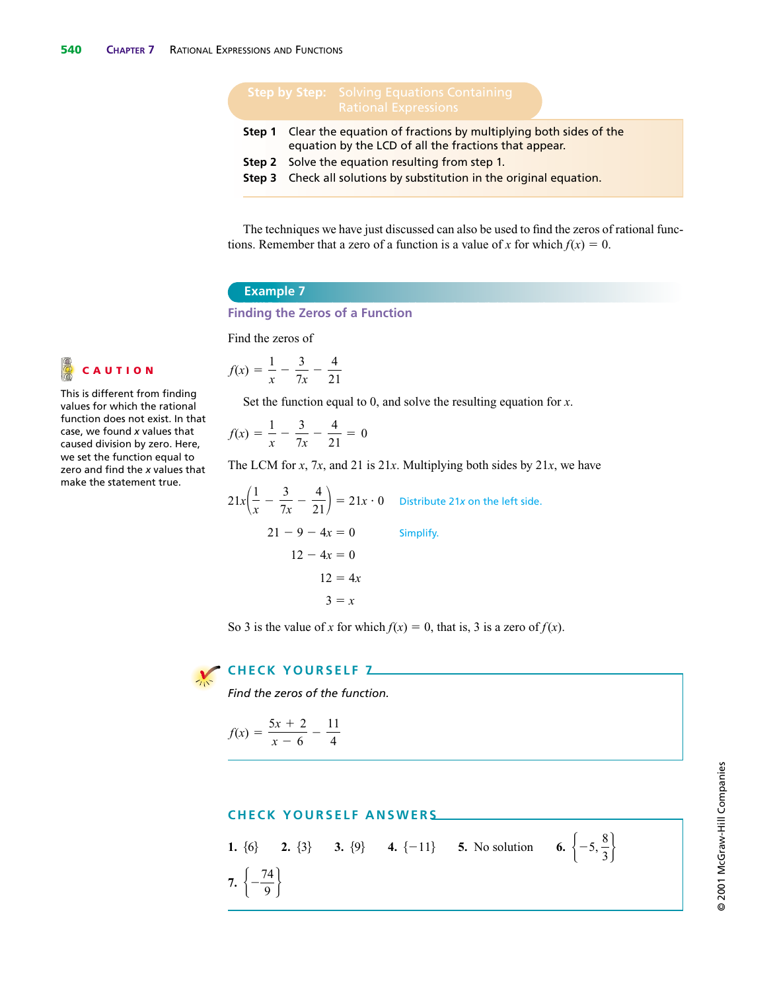- **Step 1** Clear the equation of fractions by multiplying both sides of the equation by the LCD of all the fractions that appear.
- **Step 2** Solve the equation resulting from step 1.
- **Step 3** Check all solutions by substitution in the original equation.

The techniques we have just discussed can also be used to find the zeros of rational functions. Remember that a zero of a function is a value of *x* for which  $f(x) = 0$ .

### **Example 7**

### **Finding the Zeros of a Function**

Find the zeros of

$$
f(x) = \frac{1}{x} - \frac{3}{7x} - \frac{4}{21}
$$

Set the function equal to 0, and solve the resulting equation for *x*.

$$
f(x) = \frac{1}{x} - \frac{3}{7x} - \frac{4}{21} = 0
$$

The LCM for *x*, 7*x*, and 21 is 21*x*. Multiplying both sides by 21*x*, we have

$$
21x\left(\frac{1}{x} - \frac{3}{7x} - \frac{4}{21}\right) = 21x \cdot 0
$$
 Distribute 21x on the left side.  
21 - 9 - 4x = 0  
12 - 4x = 0  
12 = 4x  
3 = x

So 3 is the value of *x* for which  $f(x) = 0$ , that is, 3 is a zero of  $f(x)$ .



### **CHECK YOURSELF 7**

*Find the zeros of the function.*

$$
f(x) = \frac{5x + 2}{x - 6} - \frac{11}{4}
$$

### **CHECK YOURSELF ANSWERS**

**1.**  $\{6\}$  **2.**  $\{3\}$  **3.**  $\{9\}$  **4.**  $\{-11\}$  **5.** No solution **7.**  $\left\{ -\right\}$  $\left\{\frac{74}{9}\right\}$  $\left\{-5, \frac{8}{3}\right\}$ 

This is different from finding values for which the rational function does not exist. In that case, we found *x* values that caused division by zero. Here, we set the function equal to zero and find the *x* values that make the statement true.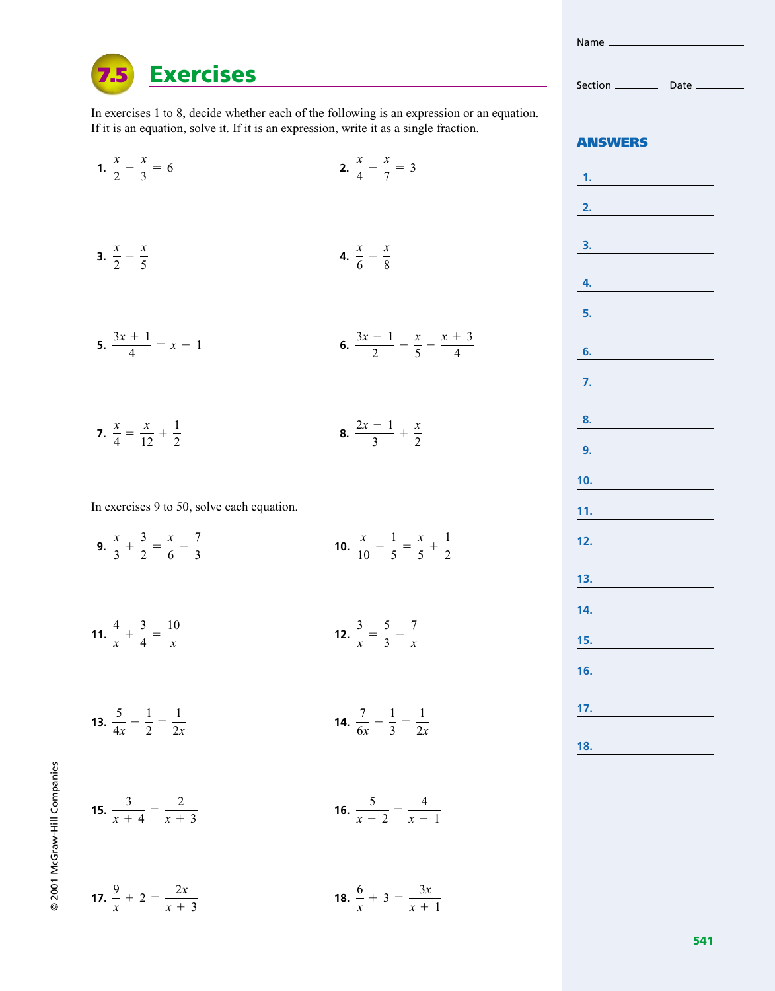In exercises 1 to 8, decide whether each of the following is an expression or an equation. If it is an equation, solve it. If it is an expression, write it as a single fraction.

**1. 2.** *x* <sup>2</sup> *<sup>x</sup>* 3 - 6 **3.**  $\frac{x}{2} - \frac{x}{5}$  **4. 5.**  $\frac{3x+1}{4} = x - 1$  **6.**  $\frac{3x-1}{2} - \frac{x}{5} - \frac{x+3}{4}$  $\frac{x}{6} - \frac{x}{8}$  $\frac{x}{4} - \frac{x}{7} = 3$ 

**7.**  $\frac{x}{4} = \frac{x}{12} + \frac{1}{2}$  **8.**  $2x - 1$  $\frac{-1}{3} + \frac{x}{2}$ 2  $\frac{x}{12} + \frac{1}{2}$ 2

In exercises 9 to 50, solve each equation.

**Exercises**

**7.5**

- **9.**  $\frac{x}{2} + \frac{3}{2} = \frac{x}{6} + \frac{7}{2}$  **10.**  $\frac{x}{10} - \frac{1}{5} = \frac{x}{5}$  $\frac{x}{5} + \frac{1}{2}$ 2  $\frac{x}{3} + \frac{3}{2} = \frac{x}{6}$  $\frac{x}{6} + \frac{7}{3}$ 3
- **11.**  $\frac{4}{4} + \frac{3}{4} = \frac{10}{4}$  **12.**  $\frac{3}{x} = \frac{5}{3} - \frac{7}{x}$  $\frac{4}{x} + \frac{3}{4} = \frac{10}{x}$ *x*
- **13.**  $\frac{5}{4x} \frac{1}{2} = \frac{1}{2x}$  **14.**  $\frac{7}{6x} - \frac{1}{3} = \frac{1}{2x}$ 2*x* 2*x*

**15.**  $\frac{3}{x+4} = \frac{2}{x+3}$  **16.** 

 $\frac{9}{x}$  + 2 =  $\frac{2x}{x+}$ 

 $x + 3$ 

 $x + 3$ 

9 2001 McGraw-Hill Companies © 2001 McGraw-Hill Companies

**17.**  $\frac{9}{2} + 2 = \frac{2x}{2}$  **18.** 

6

 $\frac{6}{x} + 3 = \frac{3x}{x+}$ 

 $\frac{5}{x-2} = \frac{4}{x-1}$ 

 $x + 1$ 

 $x - 1$ 

**ANSWERS**

**1. 2. 3. 4. 5. 6. 7. 8. 9. 10. 11. 12. 13. 14. 15. 16. 17. 18.**



Name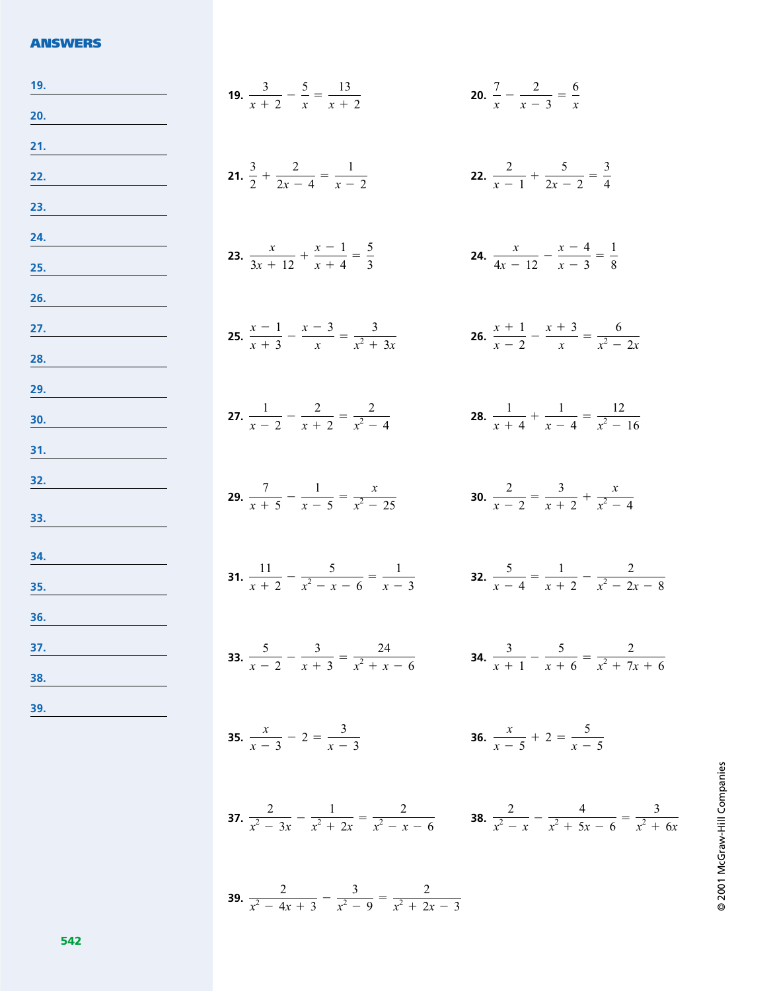### **ANSWERS**

| 19.        | <b>19.</b> $rac{3}{x+2} - \frac{5}{x} = \frac{13}{x+2}$                                                                               | <b>20.</b> $\frac{7}{x} - \frac{2}{x-3} = \frac{6}{x}$          |
|------------|---------------------------------------------------------------------------------------------------------------------------------------|-----------------------------------------------------------------|
| 20.        |                                                                                                                                       |                                                                 |
| 21.        |                                                                                                                                       |                                                                 |
| <u>22.</u> | 21. $\frac{3}{2} + \frac{2}{2x-4} = \frac{1}{x-2}$                                                                                    | 22. $\frac{2}{r-1} + \frac{5}{2r-2} = \frac{3}{4}$              |
| <u>23.</u> |                                                                                                                                       |                                                                 |
| 24.        | <b>23.</b> $\frac{x}{3x+12} + \frac{x-1}{x+4} = \frac{5}{3}$                                                                          | <b>24.</b> $\frac{x}{4x-12} - \frac{x-4}{x-3} = \frac{1}{8}$    |
| 25.        |                                                                                                                                       |                                                                 |
| 26.        |                                                                                                                                       |                                                                 |
| <u>27.</u> | <b>25.</b> $\frac{x-1}{x+3} - \frac{x-3}{x} = \frac{3}{x^2+3x}$                                                                       | <b>26.</b> $\frac{x+1}{x-2} - \frac{x+3}{x} = \frac{6}{x^2-2x}$ |
| 28.<br>29. |                                                                                                                                       |                                                                 |
| 30.        | <b>27.</b> $\frac{1}{x-2} - \frac{2}{x+2} = \frac{2}{x^2-4}$                                                                          | <b>28.</b> $\frac{1}{x+4} + \frac{1}{x-4} = \frac{12}{x^2-16}$  |
| 31.        |                                                                                                                                       |                                                                 |
| 32.        |                                                                                                                                       |                                                                 |
|            | <b>29.</b> $\frac{7}{x+5} - \frac{1}{x-5} = \frac{x}{x^2-25}$                                                                         | <b>30.</b> $\frac{2}{x-2} = \frac{3}{x+2} + \frac{x}{x^2-4}$    |
| <u>33.</u> |                                                                                                                                       |                                                                 |
| 34.        | <b>31.</b> $\frac{11}{x+2} - \frac{5}{x^2-x-6} = \frac{1}{x-3}$<br><b>32.</b> $\frac{5}{x-4} = \frac{1}{x+2} - \frac{2}{x^2-2x-8}$    |                                                                 |
| 35.        |                                                                                                                                       |                                                                 |
| 36.        |                                                                                                                                       |                                                                 |
| 37.        | <b>33.</b> $rac{5}{x-2} - \frac{3}{x+3} = \frac{24}{x^2+x-6}$ <b>34.</b> $rac{3}{x+1} - \frac{5}{x+6} = \frac{2}{x^2+7x+6}$           |                                                                 |
| 38.<br>39. |                                                                                                                                       |                                                                 |
|            | <b>35.</b> $\frac{x}{x-3} - 2 = \frac{3}{x-3}$                                                                                        | <b>36.</b> $\frac{x}{x-5} + 2 = \frac{5}{x-5}$                  |
|            |                                                                                                                                       |                                                                 |
|            |                                                                                                                                       |                                                                 |
|            | <b>37.</b> $rac{2}{x^2-3x} - \frac{1}{x^2+2x} = \frac{2}{x^2-x-6}$ <b>38.</b> $rac{2}{x^2-x} - \frac{4}{x^2+5x-6} = \frac{3}{x^2+6x}$ |                                                                 |
|            |                                                                                                                                       |                                                                 |
|            |                                                                                                                                       |                                                                 |

**39.**  $\frac{2}{2}$ 

 $\frac{2}{x^2-4x+3}-\frac{3}{x^2-9}=\frac{2}{x^2+25}$ 

 $x^2 + 2x - 3$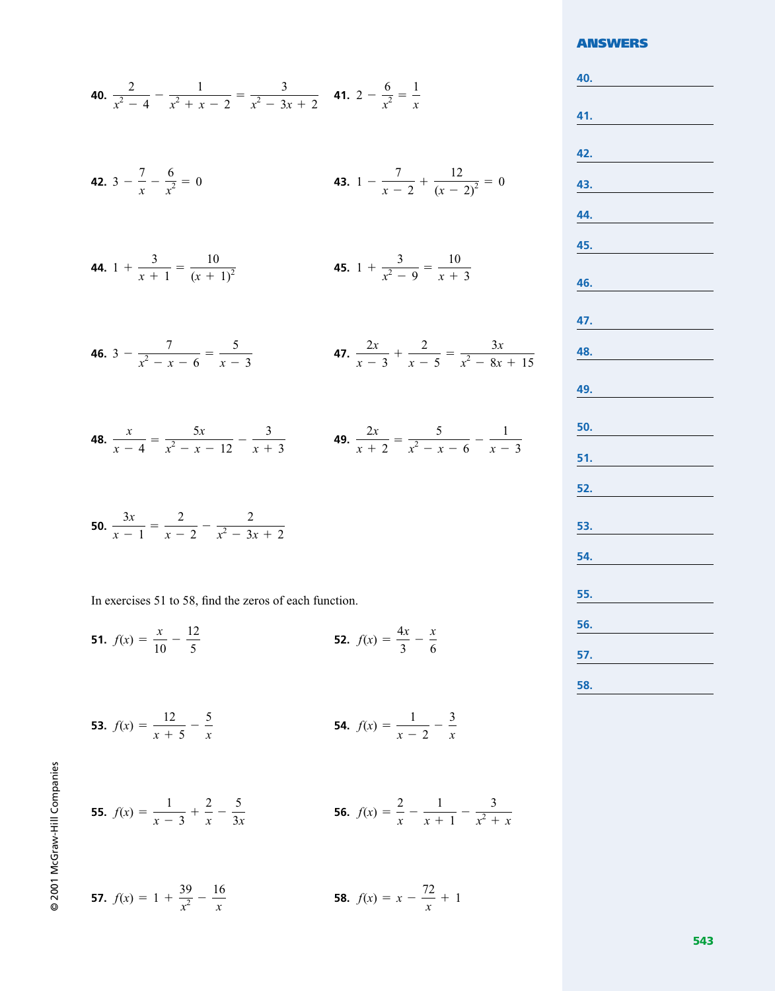### **40.**  $\frac{2}{x^2-4} - \frac{1}{x^2+x-2} = \frac{3}{x^2-3x+2}$  **41.**  $2-\frac{6}{x^2} = \frac{1}{x}$ *x* 2  $\frac{2}{x^2-4} - \frac{1}{x^2+x-2} = \frac{3}{x^2-3}$  $x^2 - 3x + 2$

**42.** 
$$
3 - \frac{7}{x} - \frac{6}{x^2} = 0
$$
   
**43.**  $1 - \frac{7}{x - 2} + \frac{12}{(x - 2)^2} = 0$ 

**44.** 
$$
1 + \frac{3}{x+1} = \frac{10}{(x+1)^2}
$$
 **45.**  $1 + \frac{3}{x^2 - 9} = \frac{10}{x+3}$ 

**46.** 
$$
3 - \frac{7}{x^2 - x - 6} = \frac{5}{x - 3}
$$
 **47.**  $\frac{2x}{x - 3} + \frac{2}{x - 5} = \frac{3x}{x^2 - 8x + 15}$ 

**48.** 
$$
\frac{x}{x-4} = \frac{5x}{x^2 - x - 12} - \frac{3}{x+3}
$$
**49.** 
$$
\frac{2x}{x+2} = \frac{5}{x^2 - x - 6} - \frac{1}{x-3}
$$

**50.** 
$$
\frac{3x}{x-1} = \frac{2}{x-2} - \frac{2}{x^2-3x+2}
$$

In exercises 51 to 58, find the zeros of each function.

 $\frac{1}{x-3} + \frac{2}{x} - \frac{5}{3x}$ 

**51.** 
$$
f(x) = \frac{x}{10} - \frac{12}{5}
$$
 **52.**  $f(x) = \frac{4x}{3} - \frac{x}{6}$ 

**53.** 
$$
f(x) = \frac{12}{x+5} - \frac{5}{x}
$$
 **54.**  $f(x) = \frac{1}{x-2} - \frac{3}{x}$ 

**55.**  $f(x) = \frac{1}{x-3} + \frac{2}{x} - \frac{5}{3x}$ <br>**56.**  $f(x) = \frac{2}{x} - \frac{1}{x+1} - \frac{3}{x^2 + x}$ 

© 2001 McGraw-Hill Companies

© 2001 McGraw-Hill Companies

**57.** 
$$
f(x) = 1 + \frac{39}{x^2} - \frac{16}{x}
$$
 **58.**  $f(x) = x - \frac{72}{x} + 1$ 

### **ANSWERS**

**40. 41. 42. 43. 44. 45. 46. 47. 48. 49. 50. 51. 52. 53. 54. 55. 56. 57. 58.**

**543**